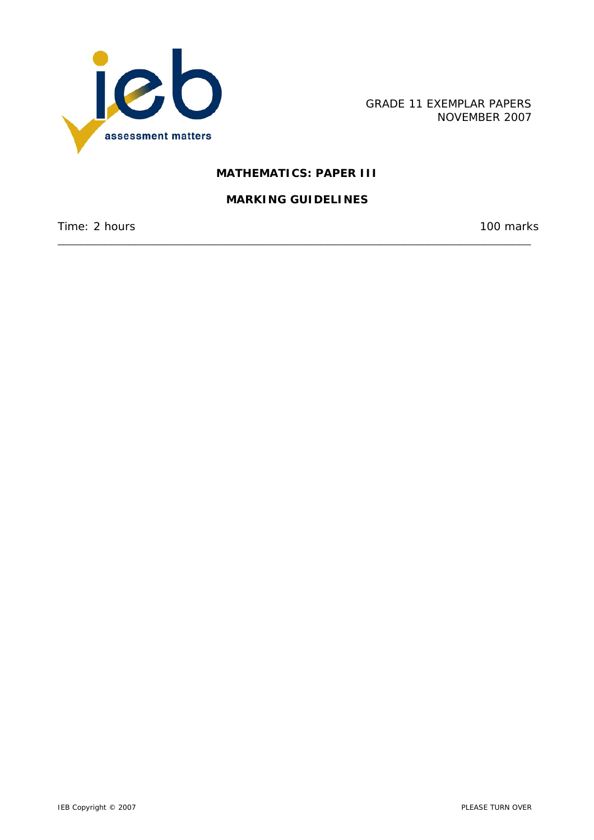

GRADE 11 EXEMPLAR PAPERS NOVEMBER 2007

# **MATHEMATICS: PAPER III**

## **MARKING GUIDELINES**

\_\_\_\_\_\_\_\_\_\_\_\_\_\_\_\_\_\_\_\_\_\_\_\_\_\_\_\_\_\_\_\_\_\_\_\_\_\_\_\_\_\_\_\_\_\_\_\_\_\_\_\_\_\_\_\_\_\_\_\_\_\_\_\_\_\_\_\_\_\_\_\_\_\_\_\_\_\_\_

Time: 2 hours 100 marks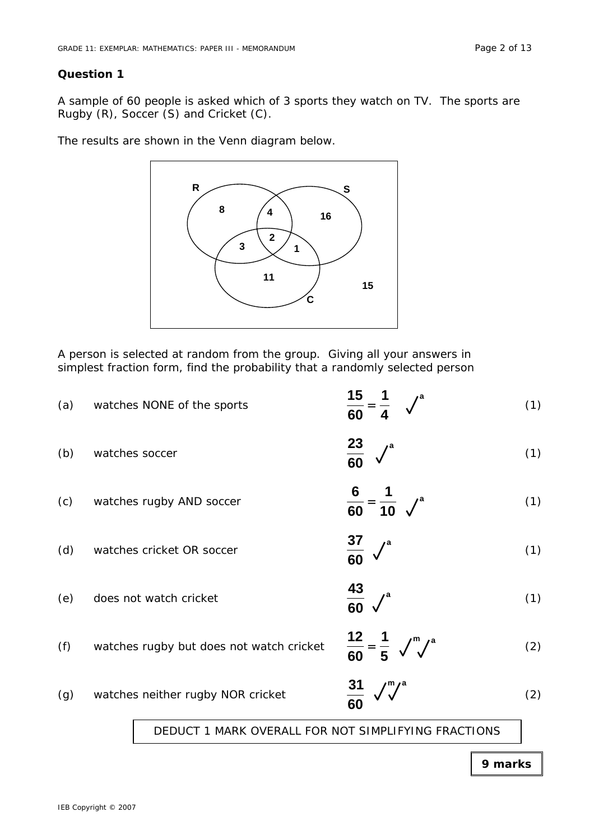A sample of 60 people is asked which of 3 sports they watch on TV. The sports are Rugby (R), Soccer (S) and Cricket (C).

The results are shown in the Venn diagram below.



A person is selected at random from the group. Giving all your answers in simplest fraction form, find the probability that a randomly selected person

| (a) | watches NONE of the sports                          | 15<br>$\overline{60}$                                 | (1) |
|-----|-----------------------------------------------------|-------------------------------------------------------|-----|
| (b) | watches soccer                                      | $\frac{23}{60}$                                       | (1) |
| (c) | watches rugby AND soccer                            | $\frac{6}{60} = \frac{1}{10}$ $\sqrt{ }$ <sup>a</sup> | (1) |
| (d) | watches cricket OR soccer                           | $\frac{37}{60}$                                       | (1) |
| (e) | does not watch cricket                              | $\frac{43}{60}$ $\checkmark$ <sup>a</sup>             | (1) |
| (f) | watches rugby but does not watch cricket            | $\frac{12}{60} = \frac{1}{5}$ $\sqrt{\sqrt{\ }}$      | (2) |
| (g) | watches neither rugby NOR cricket                   | $\frac{31}{60}$                                       | (2) |
|     | DEDUCT 1 MARK OVERALL FOR NOT SIMPLIFYING FRACTIONS |                                                       |     |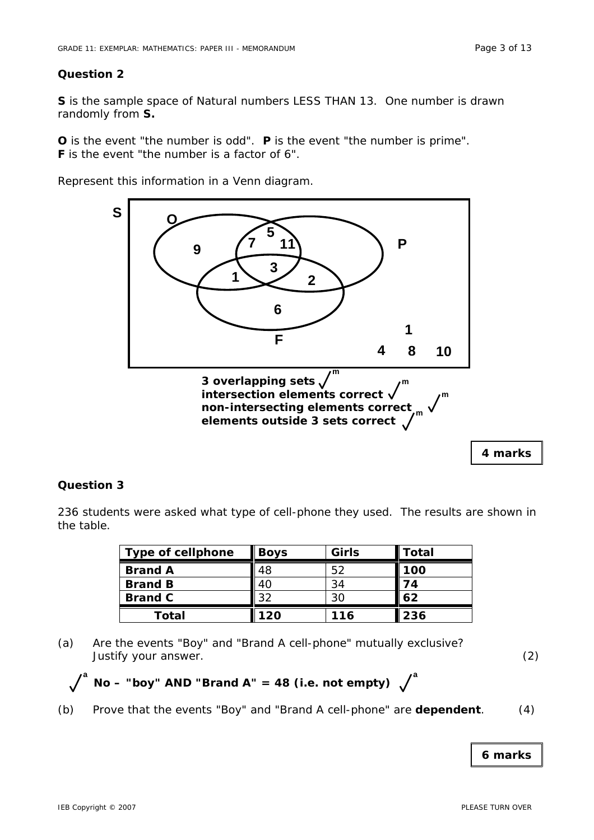**S** is the sample space of Natural numbers LESS THAN 13. One number is drawn randomly from **S.** 

**O** is the event "the number is odd". **P** is the event "the number is prime". **F** is the event "the number is a factor of 6".

Represent this information in a Venn diagram.



## **Question 3**

236 students were asked what type of cell-phone they used. The results are shown in the table.

| <b>Type of cellphone</b> | <b>Boys</b> | Girls | Total |  |
|--------------------------|-------------|-------|-------|--|
| <b>Brand A</b>           | 48          | 52    | 100   |  |
| <b>Brand B</b>           | 40          | 34    | 74    |  |
| <b>Brand C</b>           | 32          | 30    | 62    |  |
| Total                    | 120         | 116   | 236   |  |

(a) Are the events "Boy" and "Brand A cell-phone" mutually exclusive? Justify your answer. (2)

- $\int_a^a$  No "boy" AND "Brand A" = 48 (i.e. not empty)  $\int_a^a$
- (b) Prove that the events "Boy" and "Brand A cell-phone" are **dependent**. (4)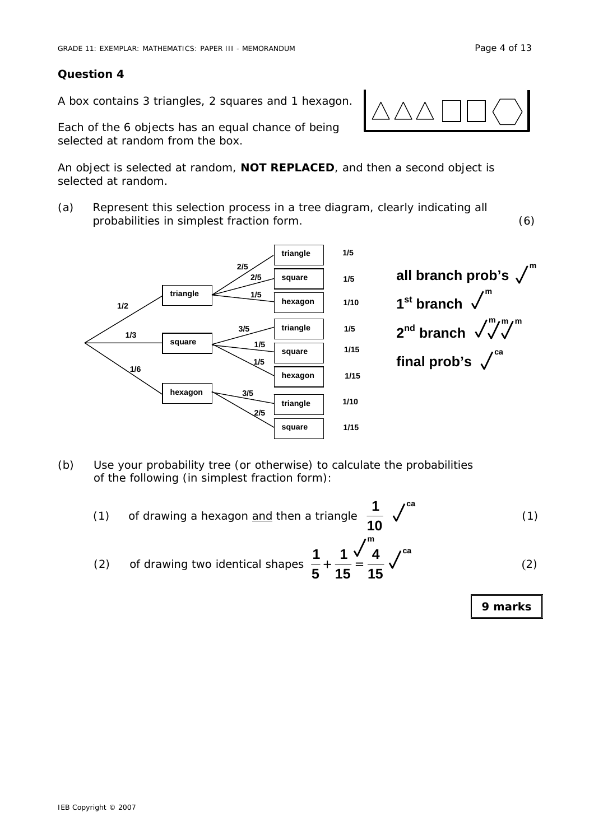A box contains 3 triangles, 2 squares and 1 hexagon.

Each of the 6 objects has an equal chance of being selected at random from the box.

An object is selected at random, **NOT REPLACED**, and then a second object is selected at random.

(a) Represent this selection process in a tree diagram, clearly indicating all probabilities in simplest fraction form. (6)



- (b) Use your probability tree (or otherwise) to calculate the probabilities of the following (in simplest fraction form):
- (1) of drawing a hexagon and then a triangle **<sup>10</sup> 1**  $\sqrt{ }$  (1) **ca m**
- (2) of drawing two identical shapes  $\frac{1}{5} + \frac{1}{15} = \frac{1}{15}$ **4 15 1 5 1**  $+\frac{1}{12} = \frac{1}{12} \sqrt{2}$  (2) **ca**

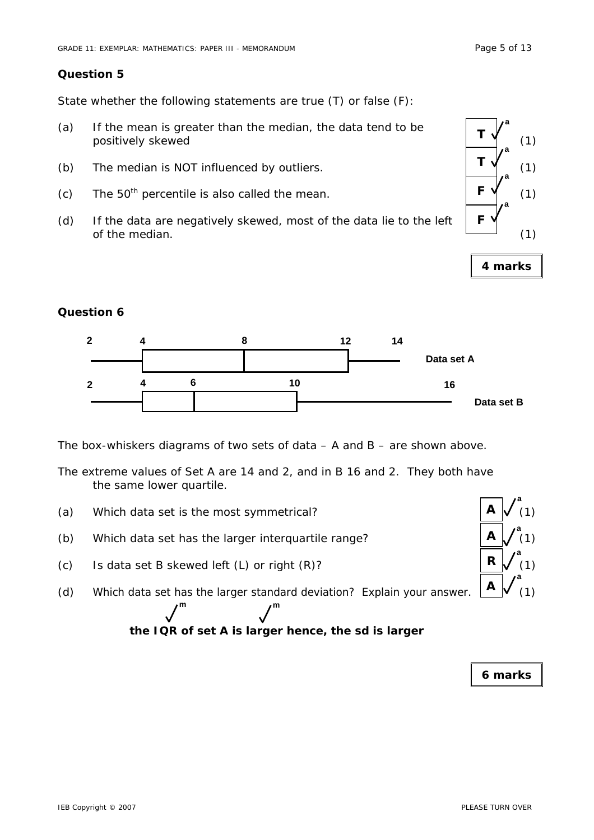State whether the following statements are true (T) or false (F):

- (a) If the mean is greater than the median, the data tend to be positively skewed  $\begin{bmatrix} 1 & 0 \\ 0 & 1 \end{bmatrix}$  (1)
- (b) The median is NOT influenced by outliers.  $\begin{pmatrix} 1 & 1 \\ 1 & 1 \end{pmatrix}$  (1)
- (c) The 50<sup>th</sup> percentile is also called the mean.  $\begin{bmatrix} \mathsf{F} \mathsf{V} \end{bmatrix}$  (1)
- (d) If the data are negatively skewed, most of the data lie to the left of the median.  $(1)$



**4 marks** 

## **Question 6**



The box-whiskers diagrams of two sets of data – A and B – are shown above.

The extreme values of Set A are 14 and 2, and in B 16 and 2. They both have the same lower quartile.

- (a) Which data set is the most symmetrical?
- (b) Which data set has the larger interquartile range?

**m m** 

- (c) Is data set B skewed left  $(L)$  or right  $(R)?$
- (d) Which data set has the larger standard deviation? Explain your answer.  $\begin{bmatrix} A & A \end{bmatrix}$  (1)

**the IQR of set A is larger hence, the sd is larger**

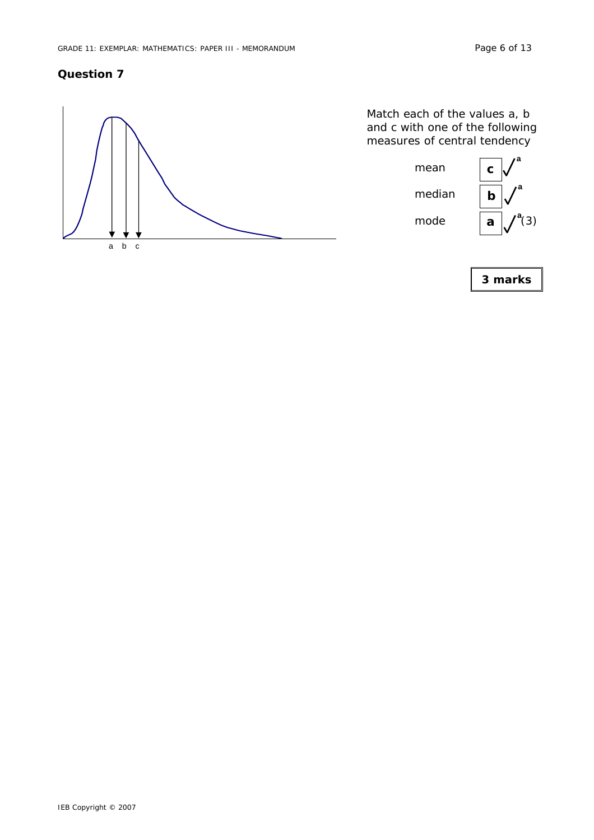

Match each of the values a, b and c with one of the following measures of central tendency

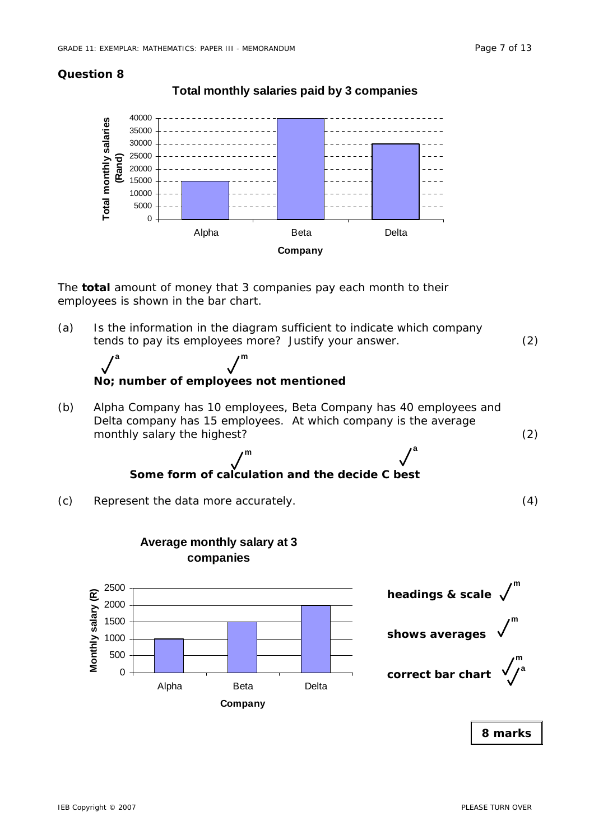# **Total monthly salaries paid by 3 companies**



The **total** amount of money that 3 companies pay each month to their employees is shown in the bar chart.

(a) Is the information in the diagram sufficient to indicate which company tends to pay its employees more? Justify your answer. (2)



(b) Alpha Company has 10 employees, Beta Company has 40 employees and Delta company has 15 employees. At which company is the average monthly salary the highest? (2)

> **Some form of calculation and the decide C best m** and the set of  $\ell^a$



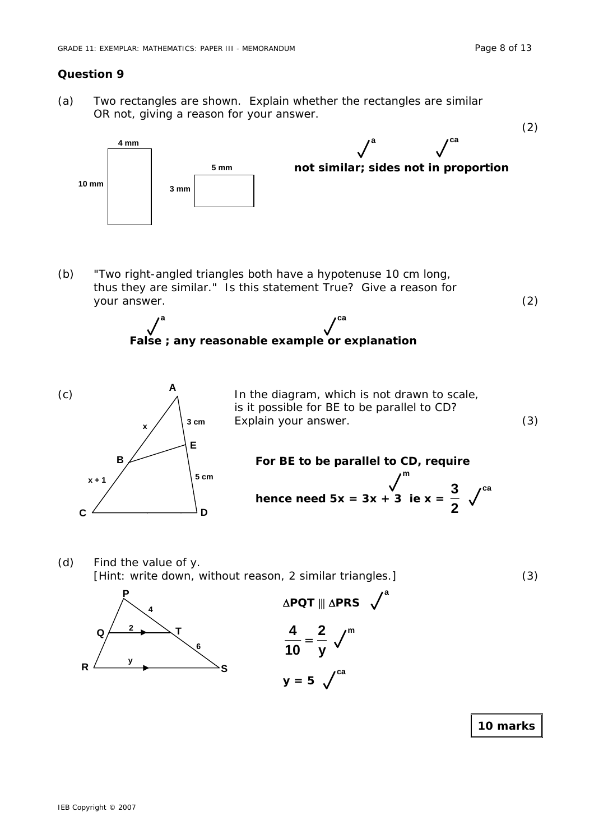(a) Two rectangles are shown. Explain whether the rectangles are similar OR not, giving a reason for your answer.



(b) "Two right-angled triangles both have a hypotenuse 10 cm long, thus they are similar." Is this statement True? Give a reason for your answer. (2)





(c)  $A_{\lambda}$  In the diagram, which is not drawn to scale, is it possible for BE to be parallel to CD? Explain your answer. (3)

> **For BE to be parallel to CD, require k**  $\frac{1}{2}$  **hence need 5x = 3x + 3 ie x =**  $\frac{3}{2}$ **3 m ca**

> > **a**

(d) Find the value of y. [Hint: write down, without reason, 2 similar triangles.] (3)



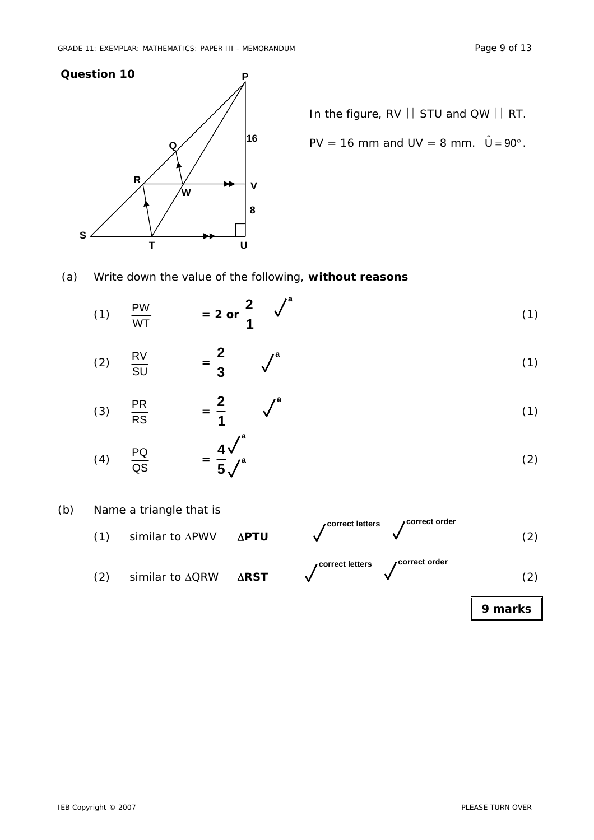

In the figure, RV | STU and QW | RT.

PV = 16 mm and UV = 8 mm. 
$$
\hat{U} = 90^{\circ}
$$

(a) Write down the value of the following, **without reasons**

(1) 
$$
\frac{PW}{WT}
$$
 = 2 or  $\frac{2}{1}$   $\checkmark$  (1)

$$
(2) \quad \frac{RV}{SU} \qquad = \frac{2}{3} \qquad \sqrt{\phantom{a}}^{a} \tag{1}
$$

$$
(3) \quad \frac{\text{PR}}{\text{RS}} \qquad = \frac{2}{1} \qquad \sqrt{\phantom{0}}^a \tag{1}
$$

$$
(4) \quad \frac{PQ}{QS} \qquad = \frac{4}{5} \sqrt{a} \tag{2}
$$

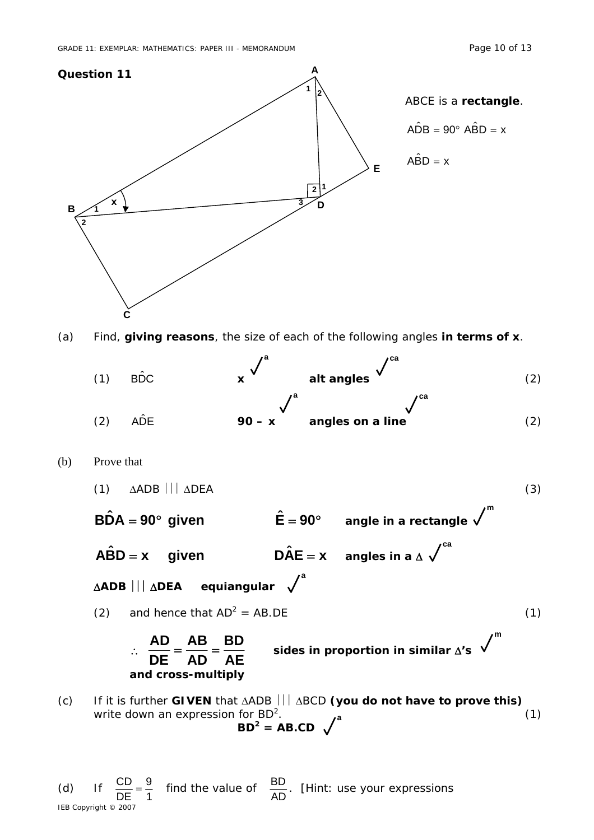IEB Copyright © 2007

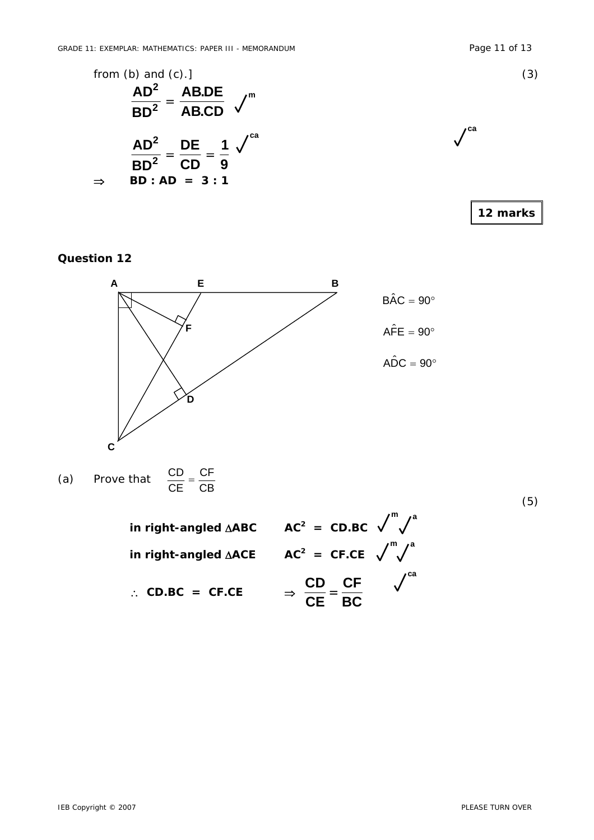



(a) Prove that 
$$
\frac{CD}{CE} = \frac{CF}{CB}
$$

**in right-angled**  $\triangle ABC$  $AC^2$  **= CD.BC in right-angled** Δ**ACE AC2 = CF.CE** ∴ CD.BC = CF.CE  $\Rightarrow \frac{1}{CE} = \frac{1}{BC}$ **CF CE**  $\frac{CD}{CD} = \frac{CF}{DC}$   $\sqrt{ca}$ **m** a  $m$  a

(5)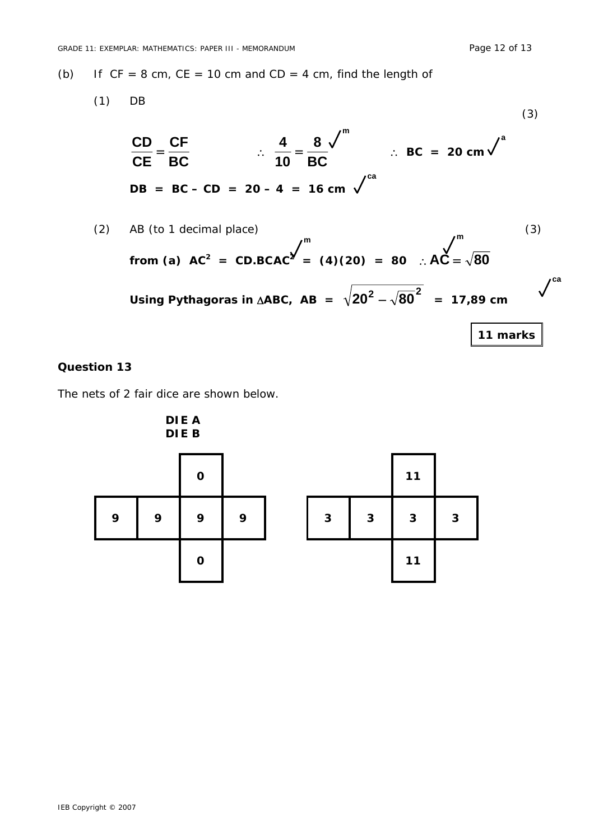(b) If  $CF = 8$  cm,  $CE = 10$  cm and  $CD = 4$  cm, find the length of

(1) DB  
\n
$$
\frac{CD}{CE} = \frac{CF}{BC} \qquad \therefore \qquad \frac{4}{10} = \frac{8}{BC} \qquad \therefore BC = 20 \text{ cm}^{\frac{3}{2}}
$$
\n
$$
DB = BC - CD = 20 - 4 = 16 \text{ cm}^{\frac{3}{2}}
$$
\n(3)

(2) AB (to 1 decimal place)  
\nfrom (a) AC<sup>2</sup> = CD.BCAC<sup>2</sup> = (4)(20) = 80 : AC = 
$$
\sqrt{80}
$$
  
\nUsing Pythagoras in  $\triangle ABC$ , AB =  $\sqrt{20^2 - \sqrt{80}^2}$  = 17,89 cm  
\n $\sqrt{11$  marks

# **Question 13**

The nets of 2 fair dice are shown below.